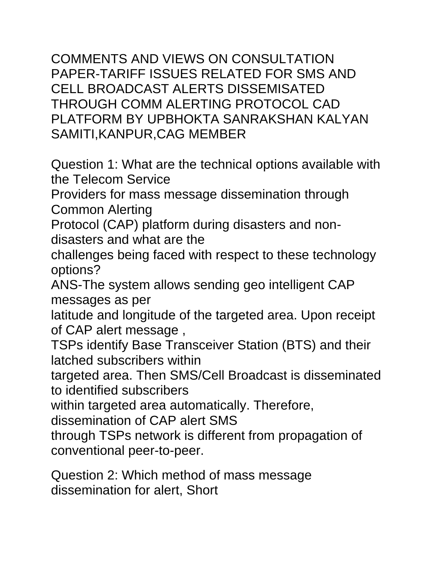COMMENTS AND VIEWS ON CONSULTATION PAPER-TARIFF ISSUES RELATED FOR SMS AND CELL BROADCAST ALERTS DISSEMISATED THROUGH COMM ALERTING PROTOCOL CAD PLATFORM BY UPBHOKTA SANRAKSHAN KALYAN SAMITI,KANPUR,CAG MEMBER

Question 1: What are the technical options available with the Telecom Service

Providers for mass message dissemination through Common Alerting

Protocol (CAP) platform during disasters and nondisasters and what are the

challenges being faced with respect to these technology options?

ANS-The system allows sending geo intelligent CAP messages as per

latitude and longitude of the targeted area. Upon receipt of CAP alert message ,

TSPs identify Base Transceiver Station (BTS) and their latched subscribers within

targeted area. Then SMS/Cell Broadcast is disseminated to identified subscribers

within targeted area automatically. Therefore,

dissemination of CAP alert SMS

through TSPs network is different from propagation of conventional peer-to-peer.

Question 2: Which method of mass message dissemination for alert, Short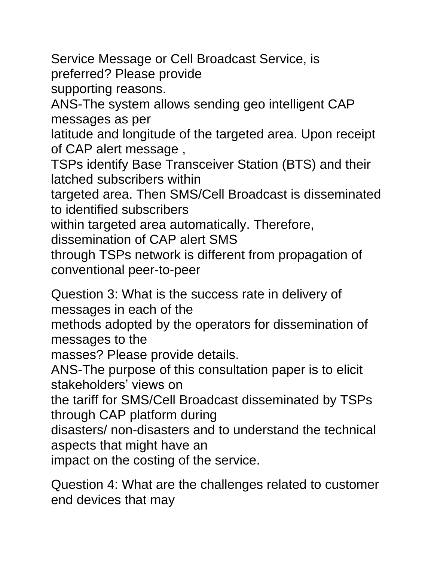Service Message or Cell Broadcast Service, is preferred? Please provide supporting reasons. ANS-The system allows sending geo intelligent CAP messages as per latitude and longitude of the targeted area. Upon receipt of CAP alert message , TSPs identify Base Transceiver Station (BTS) and their latched subscribers within targeted area. Then SMS/Cell Broadcast is disseminated to identified subscribers within targeted area automatically. Therefore, dissemination of CAP alert SMS through TSPs network is different from propagation of conventional peer-to-peer Question 3: What is the success rate in delivery of messages in each of the

methods adopted by the operators for dissemination of messages to the

masses? Please provide details.

ANS-The purpose of this consultation paper is to elicit stakeholders' views on

the tariff for SMS/Cell Broadcast disseminated by TSPs through CAP platform during

disasters/ non-disasters and to understand the technical aspects that might have an

impact on the costing of the service.

Question 4: What are the challenges related to customer end devices that may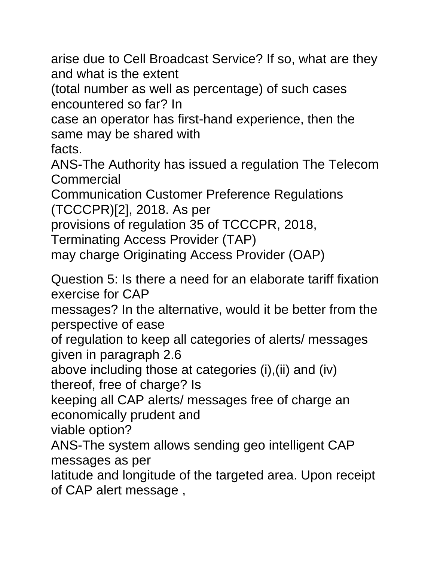arise due to Cell Broadcast Service? If so, what are they and what is the extent

(total number as well as percentage) of such cases encountered so far? In

case an operator has first-hand experience, then the same may be shared with

facts.

ANS-The Authority has issued a regulation The Telecom Commercial

Communication Customer Preference Regulations (TCCCPR)[2], 2018. As per

provisions of regulation 35 of TCCCPR, 2018,

Terminating Access Provider (TAP)

may charge Originating Access Provider (OAP)

Question 5: Is there a need for an elaborate tariff fixation exercise for CAP

messages? In the alternative, would it be better from the perspective of ease

of regulation to keep all categories of alerts/ messages given in paragraph 2.6

above including those at categories (i),(ii) and (iv) thereof, free of charge? Is

keeping all CAP alerts/ messages free of charge an economically prudent and

viable option?

ANS-The system allows sending geo intelligent CAP messages as per

latitude and longitude of the targeted area. Upon receipt of CAP alert message ,